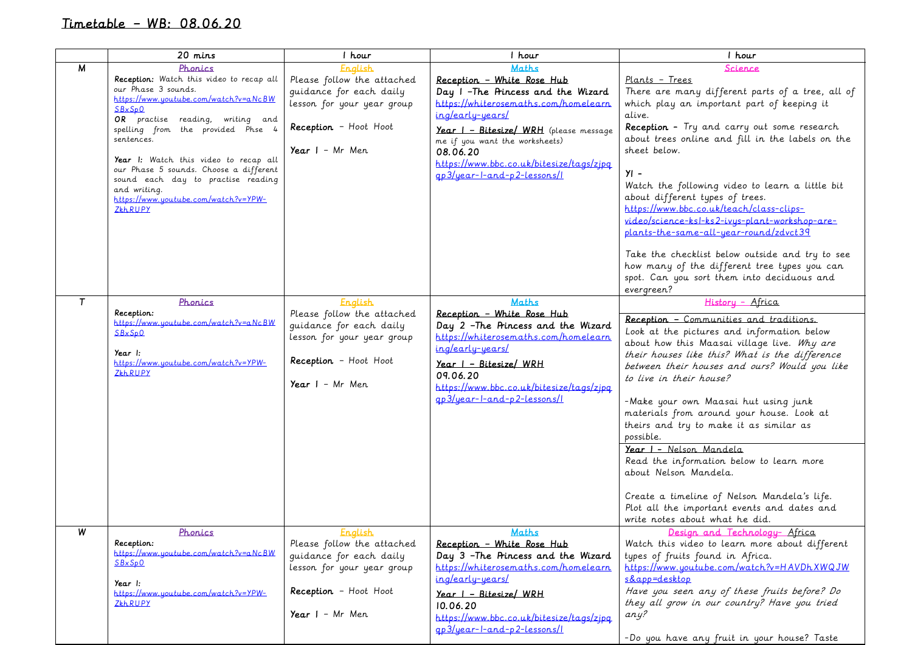## Timetable – WB: 08.06.20

|                | 20 mins                                                                                                                                                                                                                                                                                                                                                                                                          | 1 hour                                                                                                                                                     | 1 hour                                                                                                                                                                                                                                                                                                            | 1 hour                                                                                                                                                                                                                                                                                                                                                                                                                                                                                                                                                                                                                                                                 |
|----------------|------------------------------------------------------------------------------------------------------------------------------------------------------------------------------------------------------------------------------------------------------------------------------------------------------------------------------------------------------------------------------------------------------------------|------------------------------------------------------------------------------------------------------------------------------------------------------------|-------------------------------------------------------------------------------------------------------------------------------------------------------------------------------------------------------------------------------------------------------------------------------------------------------------------|------------------------------------------------------------------------------------------------------------------------------------------------------------------------------------------------------------------------------------------------------------------------------------------------------------------------------------------------------------------------------------------------------------------------------------------------------------------------------------------------------------------------------------------------------------------------------------------------------------------------------------------------------------------------|
| M              | Phonics<br>Reception: Watch this video to recap all<br>our Phase 3 sounds.<br>https://www.youtube.com/watch?v=aNcBW<br>SBxSp0<br>OR practise reading, writing and<br>spelling from the provided Phse 4<br>sentences.<br>Year I: Watch this video to recap all<br>our Phase 5 sounds. Choose a different<br>sound each day to practise reading<br>and writing.<br>https://www.youtube.com/watch?v=YPW-<br>ZŁhRUPY | <b>English</b><br>Please follow the attached<br>guidance for each daily<br>lesson for your year group<br>Reception - Hoot Hoot<br>Year $I - Mr$ Men        | <b>Maths</b><br>Reception - White Rose Hub<br>Day I -The Princess and the Wizard<br>https://whiterosemaths.com/homelearn<br>ing/early-years/<br>Year I - Bitesize/ WRH (please message<br>me if you want the worksheets)<br>08.06.20<br>https://www.bbc.co.uk/bitesize/tags/zipg<br>$qp3/year-l-and-p2-lessons/l$ | <u>Science</u><br>Plants - Trees<br>There are many different parts of a tree, all of<br>which play an important part of keeping it<br>alive.<br>Reception - Try and carry out some research<br>about trees online and fill in the labels on the<br>sheet below.<br>$YI -$<br>Watch the following video to learn a little bit<br>about different types of trees.<br>https://www.bbc.co.uk/teach/class-clips-<br>video/science-ksl-ks2-ivus-plant-workshop-are-<br>plants-the-same-all-year-round/zdvct39<br>Take the checklist below outside and try to see<br>how many of the different tree types you can<br>spot. Can you sort them into deciduous and<br>evergreen? |
| $\mathsf{T}$   | Phonics<br>Reception:<br>https://www.youtube.com/watch?v=aNcBW<br>SBxSp0<br>Year I:<br>https://www.youtube.com/watch?v=YPW-<br>ZkhRUPY                                                                                                                                                                                                                                                                           | <u>English</u><br>Please follow the attached<br>guidance for each daily<br>lesson for your year group<br>Reception - Hoot Hoot<br>Year $I - Mr$ Men        | <b>Maths</b><br>Reception - White Rose Hub<br>Day 2 -The Princess and the Wizard<br>https://whiterosemaths.com/homelearn<br>ing/early-years/<br>$Year$   - Bitesize/ WRH<br>09.06.20<br>https://www.bbc.co.uk/bitesize/tags/zipq<br>gp3/year-l-and-p2-lessons/l                                                   | History - Africa<br>Reception - Communities and traditions.<br>Look at the pictures and information below<br>about how this Maasai village live. Why are<br>their houses like this? What is the difference<br>between their houses and ours? Would you like<br>to live in their house?<br>-Make your own Maasai hut using junk<br>materials from around your house. Look at<br>theirs and try to make it as similar as<br>possible.<br>Year I - Nelson Mandela<br>Read the information below to learn more<br>about Nelson Mandela.<br>Create a timeline of Nelson Mandela's life.<br>Plot all the important events and dates and<br>write notes about what he did.    |
| $\overline{w}$ | Phonics<br>Reception:<br>https://www.youtube.com/watch?v=aNcBW<br>SBxSp0<br>Year I:<br>https://www.youtube.com/watch?v=YPW-<br>ZŁhRUPY                                                                                                                                                                                                                                                                           | <u>English</u><br>Please follow the attached<br>quidance for each daily<br>lesson for your year group<br><b>Reception</b> - Hoot Hoot<br>Year $I - Mr$ Men | <b>Maths</b><br>Reception - White Rose Hub<br>Day 3 -The Princess and the Wizard<br>https://whiterosemaths.com/homelearn<br>ing/early-years/<br><u>Year I - Bitesize/ WRH</u><br>10.06.20<br>https://www.bbc.co.uk/bitesize/tags/zjpq<br>$qp3/year-1-and-p2-lessons/1$                                            | Design and Technology- Africa<br>Watch this video to learn more about different<br>types of fruits found in Africa.<br>https://www.uoutube.com/watch?v=HAVDhXWQJW<br>s&app=desktop<br>Have you seen any of these fruits before? Do<br>they all grow in our country? Have you tried<br>any?<br>-Do you have any fruit in your house? Taste                                                                                                                                                                                                                                                                                                                              |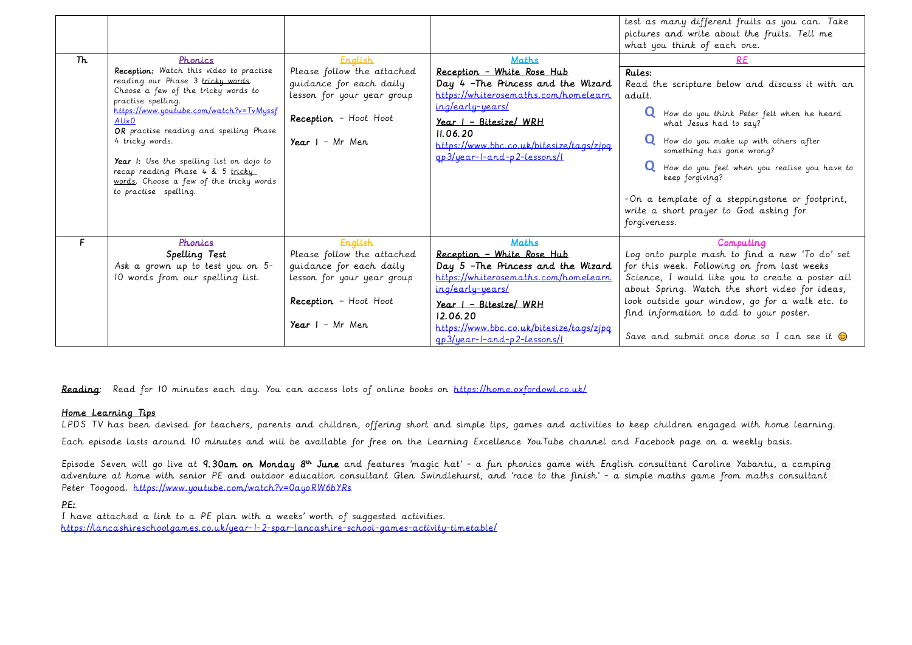|    |                                                                                                                                                                                                                                                                                                                                                                                                                          |                                                                                                                                                            |                                                                                                                                                                                                                                                                         | test as many different fruits as you can. Take<br>pictures and write about the fruits. Tell me<br>what you think of each one.                                                                                                                                                                                                                                                                    |
|----|--------------------------------------------------------------------------------------------------------------------------------------------------------------------------------------------------------------------------------------------------------------------------------------------------------------------------------------------------------------------------------------------------------------------------|------------------------------------------------------------------------------------------------------------------------------------------------------------|-------------------------------------------------------------------------------------------------------------------------------------------------------------------------------------------------------------------------------------------------------------------------|--------------------------------------------------------------------------------------------------------------------------------------------------------------------------------------------------------------------------------------------------------------------------------------------------------------------------------------------------------------------------------------------------|
| Th | Phonics                                                                                                                                                                                                                                                                                                                                                                                                                  | <b>English</b>                                                                                                                                             | <b>Maths</b>                                                                                                                                                                                                                                                            | <b>RE</b>                                                                                                                                                                                                                                                                                                                                                                                        |
|    | Reception: Watch this video to practise<br>reading our Phase 3 tricky words.<br>Choose a few of the tricky words to<br>practise spelling.<br>$https://www.you.tube.com/watch?v=TVMussf$<br>$AU\times 0$<br>OR practise reading and spelling Phase<br>4 tricky words.<br>Year I: Use the spelling list on dojo to<br>recap reading Phase 4 & 5 tricky<br>words. Choose a few of the tricky words<br>to practise spelling. | Please follow the attached<br>quidance for each daily<br>lesson for your year group<br>Reception - Hoot Hoot<br>Year $I - Mr$ Men.                         | Reception - White Rose Hub<br>Day 4 - The Princess and the Wizard<br>https://whiterosemaths.com/homelearn<br>ing/early-years/<br>$Year$ $I - Bitesize / WRH$<br>II.06.20<br>https://www.bbc.co.uk/bitesize/tags/zipg<br>gp3/year-l-and-p2-lessons/l                     | Rules:<br>Read the scripture below and discuss it with an<br>adult.<br>How do you think Peter felt when he heard<br>what Jesus had to say?<br>How do you make up with others after<br>something has gone wrong?<br>How do you feel when you realise you have to<br>keep forgiving?<br>- On a template of a steppingstone or footprint,<br>write a short prayer to God asking for<br>forgiveness. |
| F  | Phonics<br>Spelling Test<br>Ask a grown up to test you on 5-<br>10 words from our spelling list.                                                                                                                                                                                                                                                                                                                         | <b>English</b><br>Please follow the attached<br>quidance for each daily<br>lesson for your year group<br><b>Reception</b> - Hoot Hoot<br>Year $I - Mr$ Men | <b>Maths</b><br>Reception - White Rose Hub<br>Day 5 - The Princess and the Wizard<br>https://whiterosemaths.com/homelearn<br>ing/early-years/<br><u>Year I - Bitesize/ WRH</u><br>12.06.20<br>https://www.bbc.co.uk/bitesize/tags/zipa<br>$qp3/year-I-and-p2-lessons/l$ | Computing<br>Log onto purple mash to find a new 'To do' set<br>for this week. Following on from last weeks<br>Science, I would like you to create a poster all<br>about Spring. Watch the short video for ideas,<br>look outside your window, go for a walk etc. to<br>find information to add to your poster.<br>Save and submit once done so I can see it $\odot$                              |

Reading: Read for 10 minutes each day. You can access lots of online books on<https://home.oxfordowl.co.uk/>

### Home Learning Tips

LPDS TV has been devised for teachers, parents and children, offering short and simple tips, games and activities to keep children engaged with home learning. Each episode lasts around 10 minutes and will be available for free on the Learning Excellence YouTube channel and Facebook page on a weekly basis.

Episode Seven will go live at 9.30am on Monday 8<sup>th</sup> June and features 'magic hat' - a fun phonics game with English consultant Caroline Yabantu, a camping adventure at home with senior PE and outdoor education consultant Glen Swindlehurst, and 'race to the finish' - a simple maths game from maths consultant Peter Toogood. https://www.youtube.com/watch?v=0auoRW6bYRs

## PE:

I have attached a link to a PE plan with a weeks' worth of suggested activities. <https://lancashireschoolgames.co.uk/year-1-2-spar-lancashire-school-games-activity-timetable/>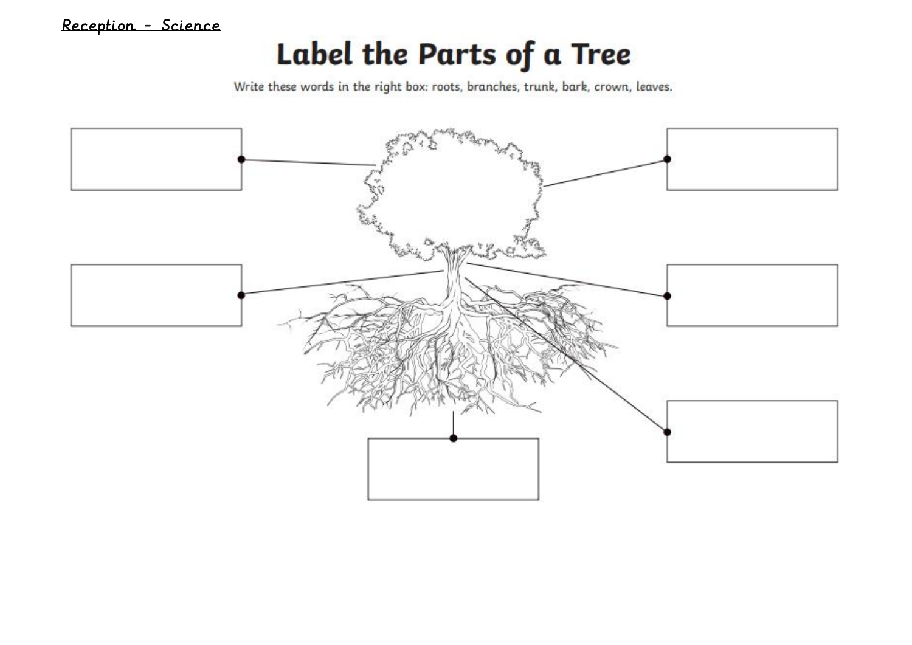# Label the Parts of a Tree

Write these words in the right box: roots, branches, trunk, bark, crown, leaves.

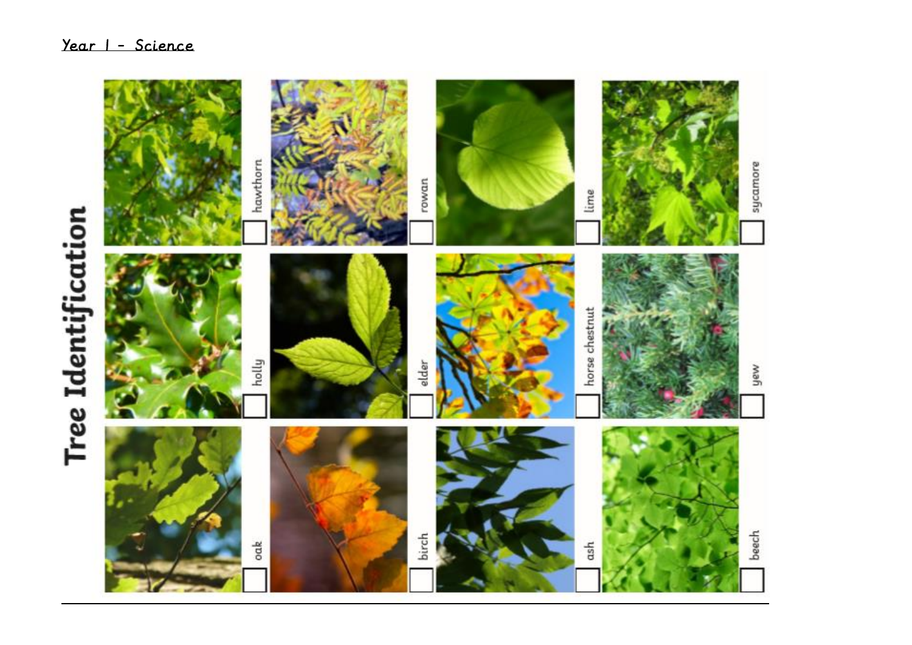# **Tree Identification**

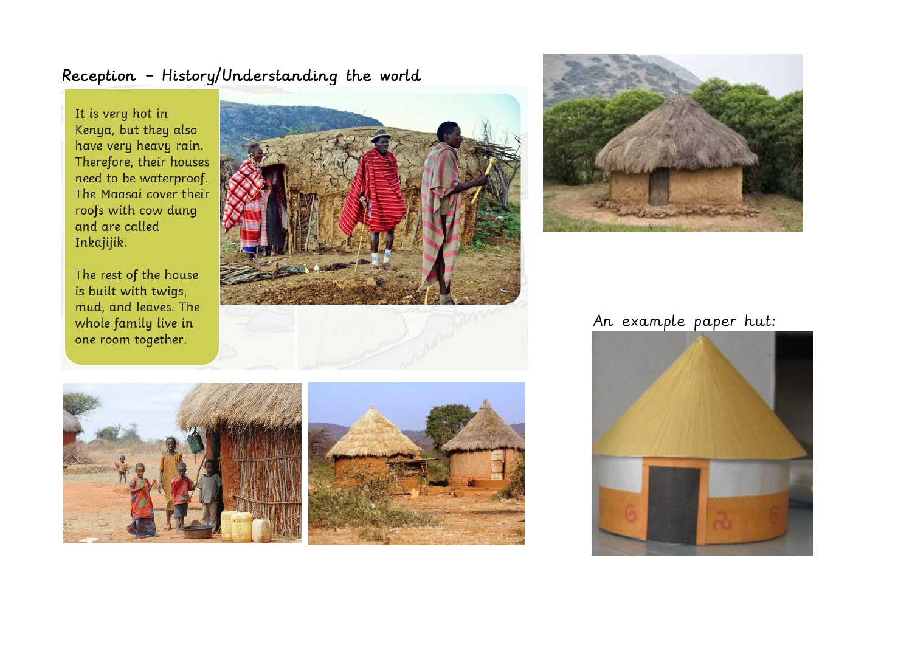## Reception - History/Understanding the world

It is very hot in Kenya, but they also have very heavy rain. Therefore, their houses need to be waterproof. The Maasai cover their roofs with cow dung and are called Inkajijik.

The rest of the house is built with twigs, mud, and leaves. The whole family live in one room together.





## An example paper hut:



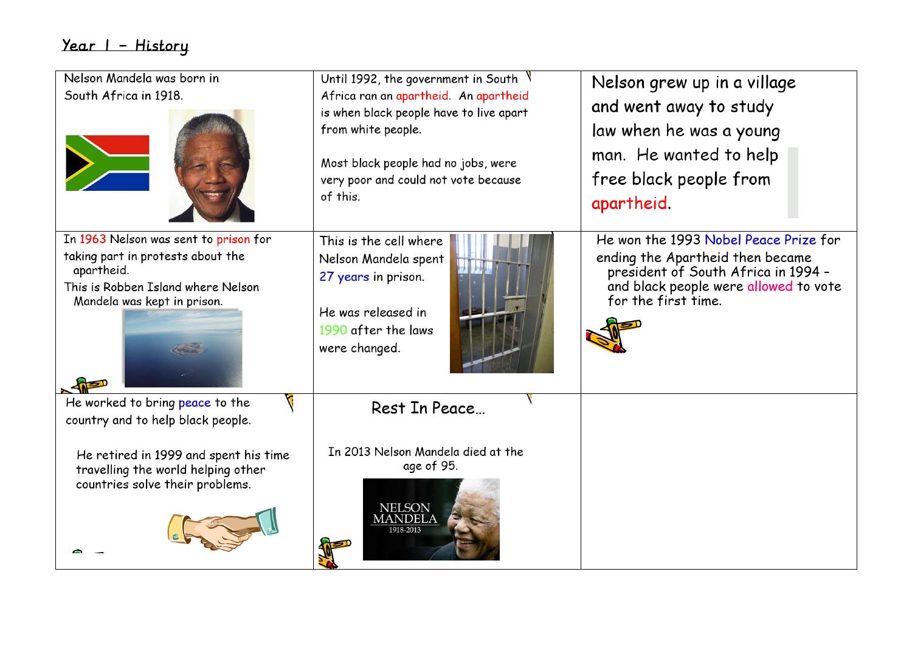# Year 1 - History

| Nelson Mandela was born in<br>South Africa in 1918.                                                                                                           | Until 1992, the government in South $\sqrt{ }$<br>Africa ran an apartheid. An apartheid<br>is when black people have to live apart<br>from white people.<br>Most black people had no jobs, were<br>very poor and could not vote because<br>of this. | Nelson grew up in a village<br>and went away to study<br>law when he was a young<br>man. He wanted to help<br>free black people from<br>apartheid.                               |
|---------------------------------------------------------------------------------------------------------------------------------------------------------------|-----------------------------------------------------------------------------------------------------------------------------------------------------------------------------------------------------------------------------------------------------|----------------------------------------------------------------------------------------------------------------------------------------------------------------------------------|
| In 1963 Nelson was sent to prison for<br>taking part in protests about the<br>apartheid.<br>This is Robben Island where Nelson<br>Mandela was kept in prison. | This is the cell where<br>Nelson Mandela spent<br>27 years in prison.<br>He was released in<br>1990 after the laws<br>were changed.                                                                                                                 | He won the 1993 Nobel Peace Prize for<br>ending the Apartheid then became<br>president of South Africa in 1994 -<br>and black people were allowed to vote<br>for the first time. |
| He worked to bring peace to the<br>country and to help black people.                                                                                          | Rest In Peace                                                                                                                                                                                                                                       |                                                                                                                                                                                  |
| He retired in 1999 and spent his time<br>travelling the world helping other<br>countries solve their problems.                                                | In 2013 Nelson Mandela died at the<br>age of 95.<br><b>NELSON</b><br><b>MANDELA</b><br>1918-2013                                                                                                                                                    |                                                                                                                                                                                  |